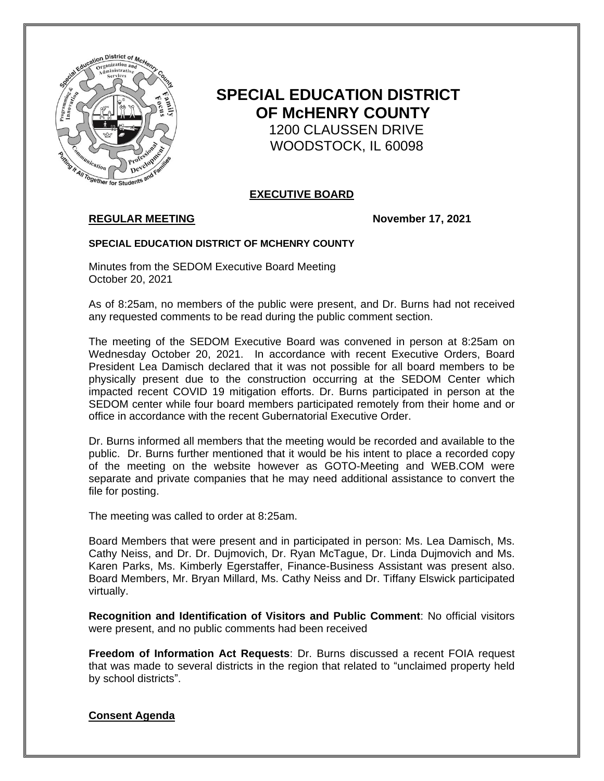

# **SPECIAL EDUCATION DISTRICT OF McHENRY COUNTY** 1200 CLAUSSEN DRIVE WOODSTOCK, IL 60098

## **EXECUTIVE BOARD**

## **REGULAR MEETING November 17, 2021**

### **SPECIAL EDUCATION DISTRICT OF MCHENRY COUNTY**

Minutes from the SEDOM Executive Board Meeting October 20, 2021

As of 8:25am, no members of the public were present, and Dr. Burns had not received any requested comments to be read during the public comment section.

The meeting of the SEDOM Executive Board was convened in person at 8:25am on Wednesday October 20, 2021. In accordance with recent Executive Orders, Board President Lea Damisch declared that it was not possible for all board members to be physically present due to the construction occurring at the SEDOM Center which impacted recent COVID 19 mitigation efforts. Dr. Burns participated in person at the SEDOM center while four board members participated remotely from their home and or office in accordance with the recent Gubernatorial Executive Order.

Dr. Burns informed all members that the meeting would be recorded and available to the public. Dr. Burns further mentioned that it would be his intent to place a recorded copy of the meeting on the website however as GOTO-Meeting and WEB.COM were separate and private companies that he may need additional assistance to convert the file for posting.

The meeting was called to order at 8:25am.

Board Members that were present and in participated in person: Ms. Lea Damisch, Ms. Cathy Neiss, and Dr. Dr. Dujmovich, Dr. Ryan McTague, Dr. Linda Dujmovich and Ms. Karen Parks, Ms. Kimberly Egerstaffer, Finance-Business Assistant was present also. Board Members, Mr. Bryan Millard, Ms. Cathy Neiss and Dr. Tiffany Elswick participated virtually.

**Recognition and Identification of Visitors and Public Comment**: No official visitors were present, and no public comments had been received

**Freedom of Information Act Requests**: Dr. Burns discussed a recent FOIA request that was made to several districts in the region that related to "unclaimed property held by school districts".

### **Consent Agenda**